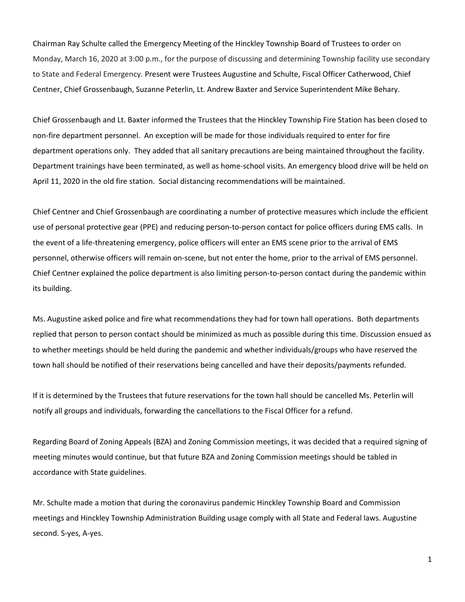Chairman Ray Schulte called the Emergency Meeting of the Hinckley Township Board of Trustees to order on Monday, March 16, 2020 at 3:00 p.m., for the purpose of discussing and determining Township facility use secondary to State and Federal Emergency. Present were Trustees Augustine and Schulte, Fiscal Officer Catherwood, Chief Centner, Chief Grossenbaugh, Suzanne Peterlin, Lt. Andrew Baxter and Service Superintendent Mike Behary.

Chief Grossenbaugh and Lt. Baxter informed the Trustees that the Hinckley Township Fire Station has been closed to non-fire department personnel. An exception will be made for those individuals required to enter for fire department operations only. They added that all sanitary precautions are being maintained throughout the facility. Department trainings have been terminated, as well as home-school visits. An emergency blood drive will be held on April 11, 2020 in the old fire station. Social distancing recommendations will be maintained.

Chief Centner and Chief Grossenbaugh are coordinating a number of protective measures which include the efficient use of personal protective gear (PPE) and reducing person-to-person contact for police officers during EMS calls. In the event of a life-threatening emergency, police officers will enter an EMS scene prior to the arrival of EMS personnel, otherwise officers will remain on-scene, but not enter the home, prior to the arrival of EMS personnel. Chief Centner explained the police department is also limiting person-to-person contact during the pandemic within its building.

Ms. Augustine asked police and fire what recommendations they had for town hall operations. Both departments replied that person to person contact should be minimized as much as possible during this time. Discussion ensued as to whether meetings should be held during the pandemic and whether individuals/groups who have reserved the town hall should be notified of their reservations being cancelled and have their deposits/payments refunded.

If it is determined by the Trustees that future reservations for the town hall should be cancelled Ms. Peterlin will notify all groups and individuals, forwarding the cancellations to the Fiscal Officer for a refund.

Regarding Board of Zoning Appeals (BZA) and Zoning Commission meetings, it was decided that a required signing of meeting minutes would continue, but that future BZA and Zoning Commission meetings should be tabled in accordance with State guidelines.

Mr. Schulte made a motion that during the coronavirus pandemic Hinckley Township Board and Commission meetings and Hinckley Township Administration Building usage comply with all State and Federal laws. Augustine second. S-yes, A-yes.